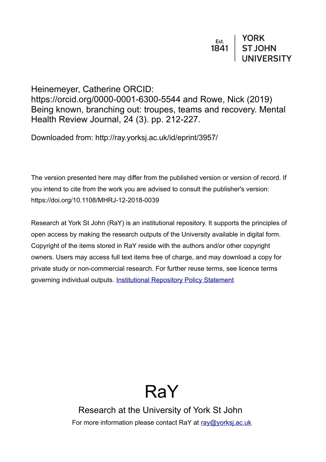Heinemeyer, Catherine ORCID: https://orcid.org/0000-0001-6300-5544 and Rowe, Nick (2019) Being known, branching out: troupes, teams and recovery. Mental Health Review Journal, 24 (3). pp. 212-227.

Downloaded from: http://ray.yorksj.ac.uk/id/eprint/3957/

The version presented here may differ from the published version or version of record. If you intend to cite from the work you are advised to consult the publisher's version: https://doi.org/10.1108/MHRJ-12-2018-0039

Research at York St John (RaY) is an institutional repository. It supports the principles of open access by making the research outputs of the University available in digital form. Copyright of the items stored in RaY reside with the authors and/or other copyright owners. Users may access full text items free of charge, and may download a copy for private study or non-commercial research. For further reuse terms, see licence terms governing individual outputs. [Institutional Repository Policy Statement](https://www.yorksj.ac.uk/ils/repository-policies/)

# RaY

Research at the University of York St John For more information please contact RaY at [ray@yorksj.ac.uk](mailto:ray@yorksj.ac.uk)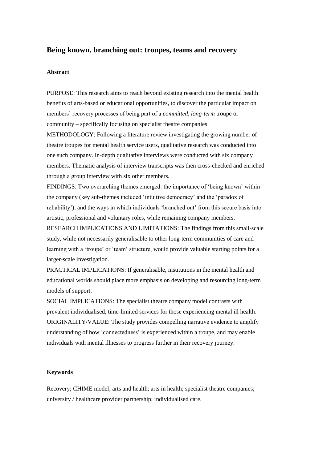## **Being known, branching out: troupes, teams and recovery**

#### **Abstract**

PURPOSE: This research aims to reach beyond existing research into the mental health benefits of arts-based or educational opportunities, to discover the particular impact on members' recovery processes of being part of a *committed, long-term* troupe or community – specifically focusing on specialist theatre companies.

METHODOLOGY: Following a literature review investigating the growing number of theatre troupes for mental health service users, qualitative research was conducted into one such company. In-depth qualitative interviews were conducted with six company members. Thematic analysis of interview transcripts was then cross-checked and enriched through a group interview with six other members.

FINDINGS: Two overarching themes emerged: the importance of 'being known' within the company (key sub-themes included 'intuitive democracy' and the 'paradox of reliability'), and the ways in which individuals 'branched out' from this secure basis into artistic, professional and voluntary roles, while remaining company members.

RESEARCH IMPLICATIONS AND LIMITATIONS: The findings from this small-scale study, while not necessarily generalisable to other long-term communities of care and learning with a 'troupe' or 'team' structure, would provide valuable starting points for a larger-scale investigation.

PRACTICAL IMPLICATIONS: If generalisable, institutions in the mental health and educational worlds should place more emphasis on developing and resourcing long-term models of support.

SOCIAL IMPLICATIONS: The specialist theatre company model contrasts with prevalent individualised, time-limited services for those experiencing mental ill health. ORIGINALITY/VALUE: The study provides compelling narrative evidence to amplify understanding of how 'connectedness' is experienced within a troupe, and may enable individuals with mental illnesses to progress further in their recovery journey.

#### **Keywords**

Recovery; CHIME model; arts and health; arts in health; specialist theatre companies; university / healthcare provider partnership; individualised care.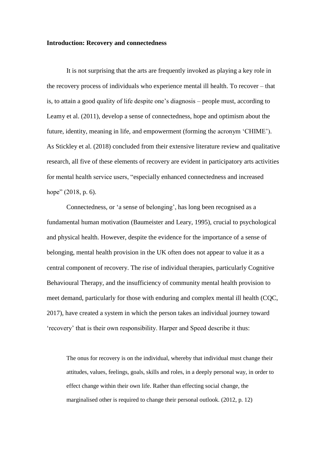#### **Introduction: Recovery and connectedness**

It is not surprising that the arts are frequently invoked as playing a key role in the recovery process of individuals who experience mental ill health. To recover – that is, to attain a good quality of life despite one's diagnosis – people must, according to Leamy et al. (2011), develop a sense of connectedness, hope and optimism about the future, identity, meaning in life, and empowerment (forming the acronym 'CHIME'). As Stickley et al. (2018) concluded from their extensive literature review and qualitative research, all five of these elements of recovery are evident in participatory arts activities for mental health service users, "especially enhanced connectedness and increased hope" (2018, p. 6).

Connectedness, or 'a sense of belonging', has long been recognised as a fundamental human motivation (Baumeister and Leary, 1995), crucial to psychological and physical health. However, despite the evidence for the importance of a sense of belonging, mental health provision in the UK often does not appear to value it as a central component of recovery. The rise of individual therapies, particularly Cognitive Behavioural Therapy, and the insufficiency of community mental health provision to meet demand, particularly for those with enduring and complex mental ill health (CQC, 2017), have created a system in which the person takes an individual journey toward 'recovery' that is their own responsibility. Harper and Speed describe it thus:

The onus for recovery is on the individual, whereby that individual must change their attitudes, values, feelings, goals, skills and roles, in a deeply personal way, in order to effect change within their own life. Rather than effecting social change, the marginalised other is required to change their personal outlook. (2012, p. 12)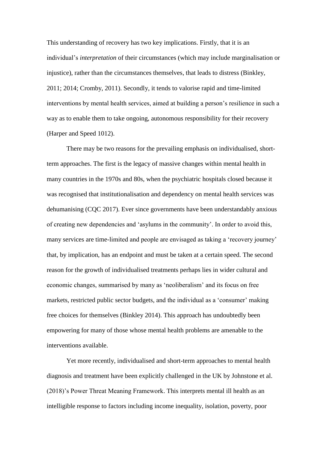This understanding of recovery has two key implications. Firstly, that it is an individual's *interpretation* of their circumstances (which may include marginalisation or injustice), rather than the circumstances themselves, that leads to distress (Binkley, 2011; 2014; Cromby, 2011). Secondly, it tends to valorise rapid and time-limited interventions by mental health services, aimed at building a person's resilience in such a way as to enable them to take ongoing, autonomous responsibility for their recovery (Harper and Speed 1012).

There may be two reasons for the prevailing emphasis on individualised, shortterm approaches. The first is the legacy of massive changes within mental health in many countries in the 1970s and 80s, when the psychiatric hospitals closed because it was recognised that institutionalisation and dependency on mental health services was dehumanising (CQC 2017). Ever since governments have been understandably anxious of creating new dependencies and 'asylums in the community'. In order to avoid this, many services are time-limited and people are envisaged as taking a 'recovery journey' that, by implication, has an endpoint and must be taken at a certain speed. The second reason for the growth of individualised treatments perhaps lies in wider cultural and economic changes, summarised by many as 'neoliberalism' and its focus on free markets, restricted public sector budgets, and the individual as a 'consumer' making free choices for themselves (Binkley 2014). This approach has undoubtedly been empowering for many of those whose mental health problems are amenable to the interventions available.

Yet more recently, individualised and short-term approaches to mental health diagnosis and treatment have been explicitly challenged in the UK by Johnstone et al. (2018)'s Power Threat Meaning Framework. This interprets mental ill health as an intelligible response to factors including income inequality, isolation, poverty, poor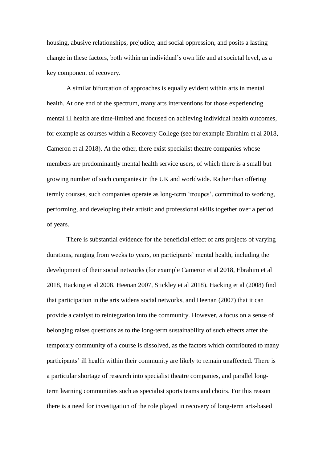housing, abusive relationships, prejudice, and social oppression, and posits a lasting change in these factors, both within an individual's own life and at societal level, as a key component of recovery.

A similar bifurcation of approaches is equally evident within arts in mental health. At one end of the spectrum, many arts interventions for those experiencing mental ill health are time-limited and focused on achieving individual health outcomes, for example as courses within a Recovery College (see for example Ebrahim et al 2018, Cameron et al 2018). At the other, there exist specialist theatre companies whose members are predominantly mental health service users, of which there is a small but growing number of such companies in the UK and worldwide. Rather than offering termly courses, such companies operate as long-term 'troupes', committed to working, performing, and developing their artistic and professional skills together over a period of years.

There is substantial evidence for the beneficial effect of arts projects of varying durations, ranging from weeks to years, on participants' mental health, including the development of their social networks (for example Cameron et al 2018, Ebrahim et al 2018, Hacking et al 2008, Heenan 2007, Stickley et al 2018). Hacking et al (2008) find that participation in the arts widens social networks, and Heenan (2007) that it can provide a catalyst to reintegration into the community. However, a focus on a sense of belonging raises questions as to the long-term sustainability of such effects after the temporary community of a course is dissolved, as the factors which contributed to many participants' ill health within their community are likely to remain unaffected. There is a particular shortage of research into specialist theatre companies, and parallel longterm learning communities such as specialist sports teams and choirs. For this reason there is a need for investigation of the role played in recovery of long-term arts-based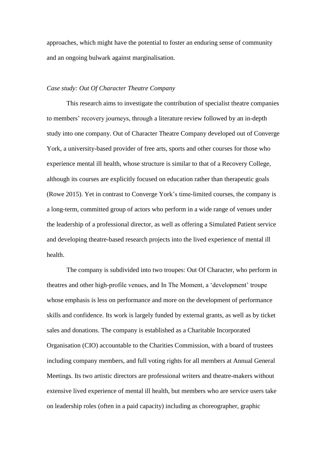approaches, which might have the potential to foster an enduring sense of community and an ongoing bulwark against marginalisation.

## *Case study: Out Of Character Theatre Company*

This research aims to investigate the contribution of specialist theatre companies to members' recovery journeys, through a literature review followed by an in-depth study into one company. Out of Character Theatre Company developed out of Converge York, a university-based provider of free arts, sports and other courses for those who experience mental ill health, whose structure is similar to that of a Recovery College, although its courses are explicitly focused on education rather than therapeutic goals (Rowe 2015). Yet in contrast to Converge York's time-limited courses, the company is a long-term, committed group of actors who perform in a wide range of venues under the leadership of a professional director, as well as offering a Simulated Patient service and developing theatre-based research projects into the lived experience of mental ill health.

The company is subdivided into two troupes: Out Of Character, who perform in theatres and other high-profile venues, and In The Moment, a 'development' troupe whose emphasis is less on performance and more on the development of performance skills and confidence. Its work is largely funded by external grants, as well as by ticket sales and donations. The company is established as a Charitable Incorporated Organisation (CIO) accountable to the Charities Commission, with a board of trustees including company members, and full voting rights for all members at Annual General Meetings. Its two artistic directors are professional writers and theatre-makers without extensive lived experience of mental ill health, but members who are service users take on leadership roles (often in a paid capacity) including as choreographer, graphic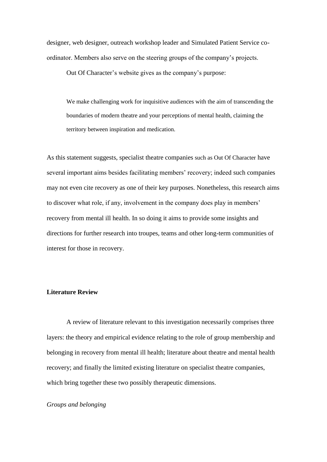designer, web designer, outreach workshop leader and Simulated Patient Service coordinator. Members also serve on the steering groups of the company's projects.

Out Of Character's website gives as the company's purpose:

We make challenging work for inquisitive audiences with the aim of transcending the boundaries of modern theatre and your perceptions of mental health, claiming the territory between inspiration and medication.

As this statement suggests, specialist theatre companies such as Out Of Character have several important aims besides facilitating members' recovery; indeed such companies may not even cite recovery as one of their key purposes. Nonetheless, this research aims to discover what role, if any, involvement in the company does play in members' recovery from mental ill health. In so doing it aims to provide some insights and directions for further research into troupes, teams and other long-term communities of interest for those in recovery.

## **Literature Review**

A review of literature relevant to this investigation necessarily comprises three layers: the theory and empirical evidence relating to the role of group membership and belonging in recovery from mental ill health; literature about theatre and mental health recovery; and finally the limited existing literature on specialist theatre companies, which bring together these two possibly therapeutic dimensions.

## *Groups and belonging*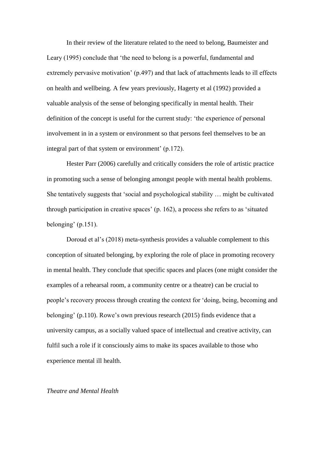In their review of the literature related to the need to belong, Baumeister and Leary (1995) conclude that 'the need to belong is a powerful, fundamental and extremely pervasive motivation' (p.497) and that lack of attachments leads to ill effects on health and wellbeing. A few years previously, Hagerty et al (1992) provided a valuable analysis of the sense of belonging specifically in mental health. Their definition of the concept is useful for the current study: 'the experience of personal involvement in in a system or environment so that persons feel themselves to be an integral part of that system or environment' (p.172).

Hester Parr (2006) carefully and critically considers the role of artistic practice in promoting such a sense of belonging amongst people with mental health problems. She tentatively suggests that 'social and psychological stability … might be cultivated through participation in creative spaces' (p. 162), a process she refers to as 'situated belonging' (p.151).

Doroud et al's (2018) meta-synthesis provides a valuable complement to this conception of situated belonging, by exploring the role of place in promoting recovery in mental health. They conclude that specific spaces and places (one might consider the examples of a rehearsal room, a community centre or a theatre) can be crucial to people's recovery process through creating the context for 'doing, being, becoming and belonging' (p.110). Rowe's own previous research (2015) finds evidence that a university campus, as a socially valued space of intellectual and creative activity, can fulfil such a role if it consciously aims to make its spaces available to those who experience mental ill health.

#### *Theatre and Mental Health*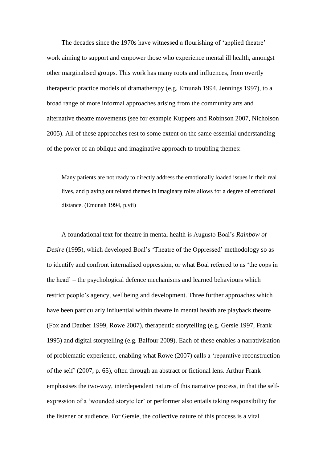The decades since the 1970s have witnessed a flourishing of 'applied theatre' work aiming to support and empower those who experience mental ill health, amongst other marginalised groups. This work has many roots and influences, from overtly therapeutic practice models of dramatherapy (e.g. Emunah 1994, Jennings 1997), to a broad range of more informal approaches arising from the community arts and alternative theatre movements (see for example Kuppers and Robinson 2007, Nicholson 2005). All of these approaches rest to some extent on the same essential understanding of the power of an oblique and imaginative approach to troubling themes:

Many patients are not ready to directly address the emotionally loaded issues in their real lives, and playing out related themes in imaginary roles allows for a degree of emotional distance. (Emunah 1994, p.vii)

A foundational text for theatre in mental health is Augusto Boal's *Rainbow of Desire* (1995), which developed Boal's 'Theatre of the Oppressed' methodology so as to identify and confront internalised oppression, or what Boal referred to as 'the cops in the head' – the psychological defence mechanisms and learned behaviours which restrict people's agency, wellbeing and development. Three further approaches which have been particularly influential within theatre in mental health are playback theatre (Fox and Dauber 1999, Rowe 2007), therapeutic storytelling (e.g. Gersie 1997, Frank 1995) and digital storytelling (e.g. Balfour 2009). Each of these enables a narrativisation of problematic experience, enabling what Rowe (2007) calls a 'reparative reconstruction of the self' (2007, p. 65), often through an abstract or fictional lens. Arthur Frank emphasises the two-way, interdependent nature of this narrative process, in that the selfexpression of a 'wounded storyteller' or performer also entails taking responsibility for the listener or audience. For Gersie, the collective nature of this process is a vital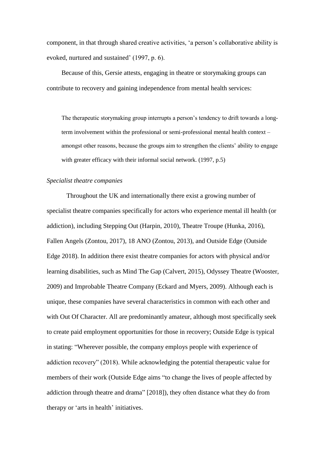component, in that through shared creative activities, 'a person's collaborative ability is evoked, nurtured and sustained' (1997, p. 6).

Because of this, Gersie attests, engaging in theatre or storymaking groups can contribute to recovery and gaining independence from mental health services:

The therapeutic storymaking group interrupts a person's tendency to drift towards a longterm involvement within the professional or semi-professional mental health context – amongst other reasons, because the groups aim to strengthen the clients' ability to engage with greater efficacy with their informal social network. (1997, p.5)

#### *Specialist theatre companies*

Throughout the UK and internationally there exist a growing number of specialist theatre companies specifically for actors who experience mental ill health (or addiction), including Stepping Out (Harpin, 2010), Theatre Troupe (Hunka, 2016), Fallen Angels (Zontou, 2017), 18 ANO (Zontou, 2013), and Outside Edge (Outside Edge 2018). In addition there exist theatre companies for actors with physical and/or learning disabilities, such as Mind The Gap (Calvert, 2015), Odyssey Theatre (Wooster, 2009) and Improbable Theatre Company (Eckard and Myers, 2009). Although each is unique, these companies have several characteristics in common with each other and with Out Of Character. All are predominantly amateur, although most specifically seek to create paid employment opportunities for those in recovery; Outside Edge is typical in stating: "Wherever possible, the company employs people with experience of addiction recovery" (2018). While acknowledging the potential therapeutic value for members of their work (Outside Edge aims "to change the lives of people affected by addiction through theatre and drama" [2018]), they often distance what they do from therapy or 'arts in health' initiatives.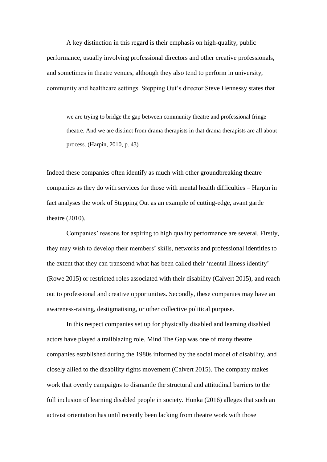A key distinction in this regard is their emphasis on high-quality, public performance, usually involving professional directors and other creative professionals, and sometimes in theatre venues, although they also tend to perform in university, community and healthcare settings. Stepping Out's director Steve Hennessy states that

we are trying to bridge the gap between community theatre and professional fringe theatre. And we are distinct from drama therapists in that drama therapists are all about process. (Harpin, 2010, p. 43)

Indeed these companies often identify as much with other groundbreaking theatre companies as they do with services for those with mental health difficulties – Harpin in fact analyses the work of Stepping Out as an example of cutting-edge, avant garde theatre (2010).

Companies' reasons for aspiring to high quality performance are several. Firstly, they may wish to develop their members' skills, networks and professional identities to the extent that they can transcend what has been called their 'mental illness identity' (Rowe 2015) or restricted roles associated with their disability (Calvert 2015), and reach out to professional and creative opportunities. Secondly, these companies may have an awareness-raising, destigmatising, or other collective political purpose.

In this respect companies set up for physically disabled and learning disabled actors have played a trailblazing role. Mind The Gap was one of many theatre companies established during the 1980s informed by the social model of disability, and closely allied to the disability rights movement (Calvert 2015). The company makes work that overtly campaigns to dismantle the structural and attitudinal barriers to the full inclusion of learning disabled people in society. Hunka (2016) alleges that such an activist orientation has until recently been lacking from theatre work with those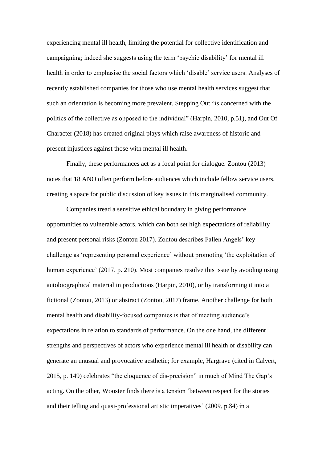experiencing mental ill health, limiting the potential for collective identification and campaigning; indeed she suggests using the term 'psychic disability' for mental ill health in order to emphasise the social factors which 'disable' service users. Analyses of recently established companies for those who use mental health services suggest that such an orientation is becoming more prevalent. Stepping Out "is concerned with the politics of the collective as opposed to the individual" (Harpin, 2010, p.51), and Out Of Character (2018) has created original plays which raise awareness of historic and present injustices against those with mental ill health.

Finally, these performances act as a focal point for dialogue. Zontou (2013) notes that 18 ANO often perform before audiences which include fellow service users, creating a space for public discussion of key issues in this marginalised community.

Companies tread a sensitive ethical boundary in giving performance opportunities to vulnerable actors, which can both set high expectations of reliability and present personal risks (Zontou 2017). Zontou describes Fallen Angels' key challenge as 'representing personal experience' without promoting 'the exploitation of human experience' (2017, p. 210). Most companies resolve this issue by avoiding using autobiographical material in productions (Harpin, 2010), or by transforming it into a fictional (Zontou, 2013) or abstract (Zontou, 2017) frame. Another challenge for both mental health and disability-focused companies is that of meeting audience's expectations in relation to standards of performance. On the one hand, the different strengths and perspectives of actors who experience mental ill health or disability can generate an unusual and provocative aesthetic; for example, Hargrave (cited in Calvert, 2015, p. 149) celebrates "the eloquence of dis-precision" in much of Mind The Gap's acting. On the other, Wooster finds there is a tension 'between respect for the stories and their telling and quasi-professional artistic imperatives' (2009, p.84) in a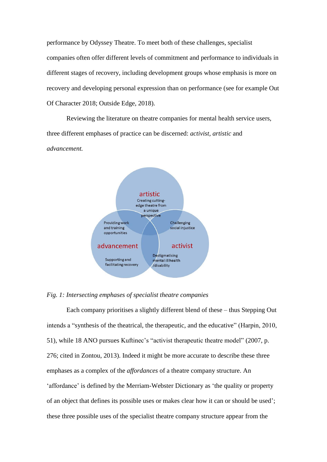performance by Odyssey Theatre. To meet both of these challenges, specialist companies often offer different levels of commitment and performance to individuals in different stages of recovery, including development groups whose emphasis is more on recovery and developing personal expression than on performance (see for example Out Of Character 2018; Outside Edge, 2018).

Reviewing the literature on theatre companies for mental health service users, three different emphases of practice can be discerned: *activist, artistic* and *advancement.*



## *Fig. 1: Intersecting emphases of specialist theatre companies*

Each company prioritises a slightly different blend of these – thus Stepping Out intends a "synthesis of the theatrical, the therapeutic, and the educative" (Harpin, 2010, 51), while 18 ANO pursues Kuftinec's "activist therapeutic theatre model" (2007, p. 276; cited in Zontou, 2013). Indeed it might be more accurate to describe these three emphases as a complex of the *affordances* of a theatre company structure. An 'affordance' is defined by the Merriam-Webster Dictionary as 'the quality or property of an object that defines its possible uses or makes clear how it can or should be used'; these three possible uses of the specialist theatre company structure appear from the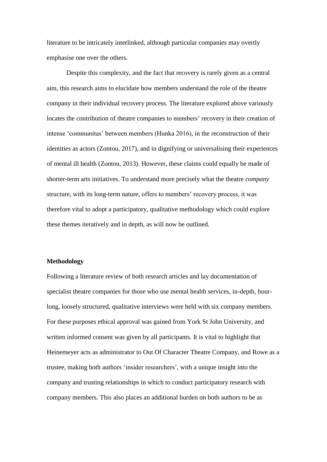literature to be intricately interlinked, although particular companies may overtly emphasise one over the others.

Despite this complexity, and the fact that recovery is rarely given as a central aim, this research aims to elucidate how members understand the role of the theatre company in their individual recovery process. The literature explored above variously locates the contribution of theatre companies to members' recovery in their creation of intense 'communitas' between members (Hunka 2016), in the reconstruction of their identities as actors (Zontou, 2017), and in dignifying or universalising their experiences of mental ill health (Zontou, 2013). However, these claims could equally be made of shorter-term arts initiatives. To understand more precisely what the theatre *company*  structure, with its long-term nature, offers to members' recovery process, it was therefore vital to adopt a participatory, qualitative methodology which could explore these themes iteratively and in depth, as will now be outlined.

#### **Methodology**

Following a literature review of both research articles and lay documentation of specialist theatre companies for those who use mental health services, in-depth, hourlong, loosely structured, qualitative interviews were held with six company members. For these purposes ethical approval was gained from York St John University, and written informed consent was given by all participants. It is vital to highlight that Heinemeyer acts as administrator to Out Of Character Theatre Company, and Rowe as a trustee, making both authors 'insider researchers', with a unique insight into the company and trusting relationships in which to conduct participatory research with company members. This also places an additional burden on both authors to be as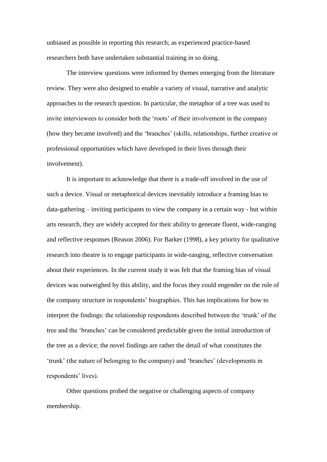unbiased as possible in reporting this research; as experienced practice-based researchers both have undertaken substantial training in so doing.

The interview questions were informed by themes emerging from the literature review. They were also designed to enable a variety of visual, narrative and analytic approaches to the research question. In particular, the metaphor of a tree was used to invite interviewees to consider both the 'roots' of their involvement in the company (how they became involved) and the 'branches' (skills, relationships, further creative or professional opportunities which have developed in their lives through their involvement).

It is important to acknowledge that there is a trade-off involved in the use of such a device. Visual or metaphorical devices inevitably introduce a framing bias to data-gathering – inviting participants to view the company in a certain way - but within arts research, they are widely accepted for their ability to generate fluent, wide-ranging and reflective responses (Reason 2006). For Barker (1998), a key priority for qualitative research into theatre is to engage participants in wide-ranging, reflective conversation about their experiences. In the current study it was felt that the framing bias of visual devices was outweighed by this ability, and the focus they could engender on the role of the company structure in respondents' biographies. This has implications for how to interpret the findings: the relationship respondents described between the 'trunk' of the tree and the 'branches' can be considered predictable given the initial introduction of the tree as a device; the novel findings are rather the detail of what constitutes the 'trunk' (the nature of belonging to the company) and 'branches' (developments in respondents' lives).

Other questions probed the negative or challenging aspects of company membership.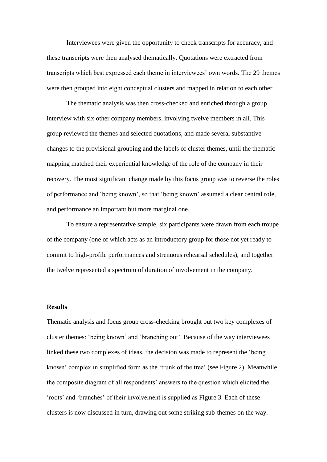Interviewees were given the opportunity to check transcripts for accuracy, and these transcripts were then analysed thematically. Quotations were extracted from transcripts which best expressed each theme in interviewees' own words. The 29 themes were then grouped into eight conceptual clusters and mapped in relation to each other.

The thematic analysis was then cross-checked and enriched through a group interview with six other company members, involving twelve members in all. This group reviewed the themes and selected quotations, and made several substantive changes to the provisional grouping and the labels of cluster themes, until the thematic mapping matched their experiential knowledge of the role of the company in their recovery. The most significant change made by this focus group was to reverse the roles of performance and 'being known', so that 'being known' assumed a clear central role, and performance an important but more marginal one.

To ensure a representative sample, six participants were drawn from each troupe of the company (one of which acts as an introductory group for those not yet ready to commit to high-profile performances and strenuous rehearsal schedules), and together the twelve represented a spectrum of duration of involvement in the company.

#### **Results**

Thematic analysis and focus group cross-checking brought out two key complexes of cluster themes: 'being known' and 'branching out'. Because of the way interviewees linked these two complexes of ideas, the decision was made to represent the 'being known' complex in simplified form as the 'trunk of the tree' (see Figure 2). Meanwhile the composite diagram of all respondents' answers to the question which elicited the 'roots' and 'branches' of their involvement is supplied as Figure 3. Each of these clusters is now discussed in turn, drawing out some striking sub-themes on the way.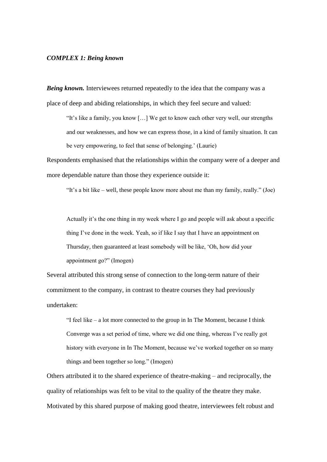#### *COMPLEX 1: Being known*

*Being known.* Interviewees returned repeatedly to the idea that the company was a place of deep and abiding relationships, in which they feel secure and valued:

"It's like a family, you know […] We get to know each other very well, our strengths and our weaknesses, and how we can express those, in a kind of family situation. It can be very empowering, to feel that sense of belonging.' (Laurie)

Respondents emphasised that the relationships within the company were of a deeper and more dependable nature than those they experience outside it:

"It's a bit like – well, these people know more about me than my family, really." (Joe)

Actually it's the one thing in my week where I go and people will ask about a specific thing I've done in the week. Yeah, so if like I say that I have an appointment on Thursday, then guaranteed at least somebody will be like, 'Oh, how did your appointment go?" (Imogen)

Several attributed this strong sense of connection to the long-term nature of their commitment to the company, in contrast to theatre courses they had previously undertaken:

"I feel like – a lot more connected to the group in In The Moment, because I think Converge was a set period of time, where we did one thing, whereas I've really got history with everyone in In The Moment, because we've worked together on so many things and been together so long." (Imogen)

Others attributed it to the shared experience of theatre-making – and reciprocally, the quality of relationships was felt to be vital to the quality of the theatre they make. Motivated by this shared purpose of making good theatre, interviewees felt robust and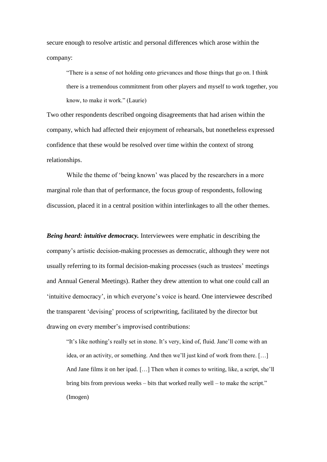secure enough to resolve artistic and personal differences which arose within the company:

"There is a sense of not holding onto grievances and those things that go on. I think there is a tremendous commitment from other players and myself to work together, you know, to make it work." (Laurie)

Two other respondents described ongoing disagreements that had arisen within the company, which had affected their enjoyment of rehearsals, but nonetheless expressed confidence that these would be resolved over time within the context of strong relationships.

While the theme of 'being known' was placed by the researchers in a more marginal role than that of performance, the focus group of respondents, following discussion, placed it in a central position within interlinkages to all the other themes.

*Being heard: intuitive democracy.* Interviewees were emphatic in describing the company's artistic decision-making processes as democratic, although they were not usually referring to its formal decision-making processes (such as trustees' meetings and Annual General Meetings). Rather they drew attention to what one could call an 'intuitive democracy', in which everyone's voice is heard. One interviewee described the transparent 'devising' process of scriptwriting, facilitated by the director but drawing on every member's improvised contributions:

"It's like nothing's really set in stone. It's very, kind of, fluid. Jane'll come with an idea, or an activity, or something. And then we'll just kind of work from there. […] And Jane films it on her ipad. […] Then when it comes to writing, like, a script, she'll bring bits from previous weeks – bits that worked really well – to make the script." (Imogen)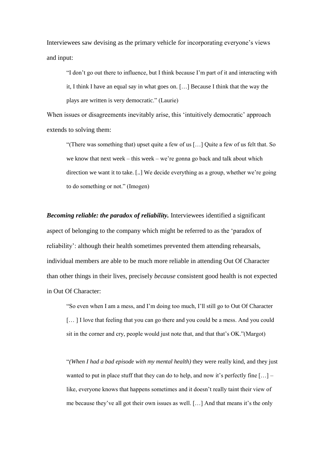Interviewees saw devising as the primary vehicle for incorporating everyone's views and input:

"I don't go out there to influence, but I think because I'm part of it and interacting with it, I think I have an equal say in what goes on. […] Because I think that the way the plays are written is very democratic." (Laurie)

When issues or disagreements inevitably arise, this 'intuitively democratic' approach extends to solving them:

"(There was something that) upset quite a few of us […] Quite a few of us felt that. So we know that next week – this week – we're gonna go back and talk about which direction we want it to take. [..] We decide everything as a group, whether we're going to do something or not." (Imogen)

*Becoming reliable: the paradox of reliability.* Interviewees identified a significant aspect of belonging to the company which might be referred to as the 'paradox of reliability': although their health sometimes prevented them attending rehearsals, individual members are able to be much more reliable in attending Out Of Character than other things in their lives, precisely *because* consistent good health is not expected in Out Of Character:

"So even when I am a mess, and I'm doing too much, I'll still go to Out Of Character [… ] I love that feeling that you can go there and you could be a mess. And you could sit in the corner and cry, people would just note that, and that that's OK."(Margot)

"*(When I had a bad episode with my mental health)* they were really kind, and they just wanted to put in place stuff that they can do to help, and now it's perfectly fine  $[\dots]$  – like, everyone knows that happens sometimes and it doesn't really taint their view of me because they've all got their own issues as well. […] And that means it's the only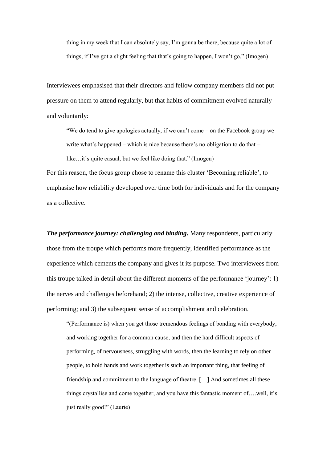thing in my week that I can absolutely say, I'm gonna be there, because quite a lot of things, if I've got a slight feeling that that's going to happen, I won't go." (Imogen)

Interviewees emphasised that their directors and fellow company members did not put pressure on them to attend regularly, but that habits of commitment evolved naturally and voluntarily:

"We do tend to give apologies actually, if we can't come – on the Facebook group we write what's happened – which is nice because there's no obligation to do that – like…it's quite casual, but we feel like doing that." (Imogen)

For this reason, the focus group chose to rename this cluster 'Becoming reliable', to emphasise how reliability developed over time both for individuals and for the company as a collective.

*The performance journey: challenging and binding.* Many respondents, particularly those from the troupe which performs more frequently, identified performance as the experience which cements the company and gives it its purpose. Two interviewees from this troupe talked in detail about the different moments of the performance 'journey': 1) the nerves and challenges beforehand; 2) the intense, collective, creative experience of performing; and 3) the subsequent sense of accomplishment and celebration.

"(Performance is) when you get those tremendous feelings of bonding with everybody, and working together for a common cause, and then the hard difficult aspects of performing, of nervousness, struggling with words, then the learning to rely on other people, to hold hands and work together is such an important thing, that feeling of friendship and commitment to the language of theatre. […] And sometimes all these things crystallise and come together, and you have this fantastic moment of….well, it's just really good!" (Laurie)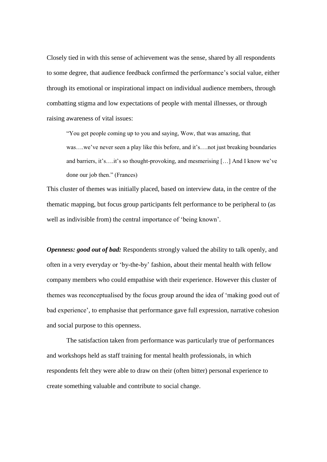Closely tied in with this sense of achievement was the sense, shared by all respondents to some degree, that audience feedback confirmed the performance's social value, either through its emotional or inspirational impact on individual audience members, through combatting stigma and low expectations of people with mental illnesses, or through raising awareness of vital issues:

"You get people coming up to you and saying, Wow, that was amazing, that was...we've never seen a play like this before, and it's....not just breaking boundaries and barriers, it's….it's so thought-provoking, and mesmerising […] And I know we've done our job then." (Frances)

This cluster of themes was initially placed, based on interview data, in the centre of the thematic mapping, but focus group participants felt performance to be peripheral to (as well as indivisible from) the central importance of 'being known'.

*Openness: good out of bad:* Respondents strongly valued the ability to talk openly, and often in a very everyday or 'by-the-by' fashion, about their mental health with fellow company members who could empathise with their experience. However this cluster of themes was reconceptualised by the focus group around the idea of 'making good out of bad experience', to emphasise that performance gave full expression, narrative cohesion and social purpose to this openness.

The satisfaction taken from performance was particularly true of performances and workshops held as staff training for mental health professionals, in which respondents felt they were able to draw on their (often bitter) personal experience to create something valuable and contribute to social change.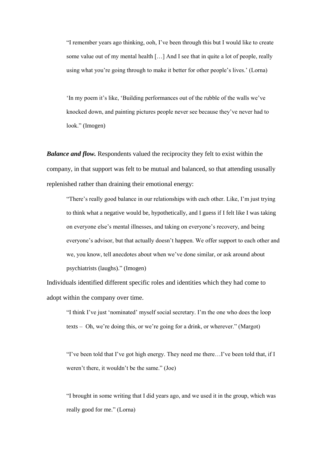"I remember years ago thinking, ooh, I've been through this but I would like to create some value out of my mental health […] And I see that in quite a lot of people, really using what you're going through to make it better for other people's lives.' (Lorna)

'In my poem it's like, 'Building performances out of the rubble of the walls we've knocked down, and painting pictures people never see because they've never had to look." (Imogen)

*Balance and flow.* Respondents valued the reciprocity they felt to exist within the company, in that support was felt to be mutual and balanced, so that attending ususally replenished rather than draining their emotional energy:

"There's really good balance in our relationships with each other. Like, I'm just trying to think what a negative would be, hypothetically, and I guess if I felt like I was taking on everyone else's mental illnesses, and taking on everyone's recovery, and being everyone's advisor, but that actually doesn't happen. We offer support to each other and we, you know, tell anecdotes about when we've done similar, or ask around about psychiatrists (laughs)." (Imogen)

Individuals identified different specific roles and identities which they had come to adopt within the company over time.

"I think I've just 'nominated' myself social secretary. I'm the one who does the loop texts – Oh, we're doing this, or we're going for a drink, or wherever." (Margot)

"I've been told that I've got high energy. They need me there…I've been told that, if I weren't there, it wouldn't be the same." (Joe)

"I brought in some writing that I did years ago, and we used it in the group, which was really good for me." (Lorna)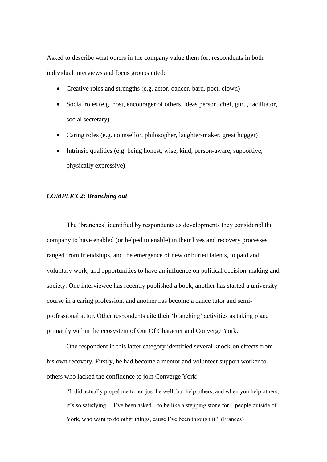Asked to describe what others in the company value them for, respondents in both individual interviews and focus groups cited:

- Creative roles and strengths (e.g. actor, dancer, bard, poet, clown)
- Social roles (e.g. host, encourager of others, ideas person, chef, guru, facilitator, social secretary)
- Caring roles (e.g. counsellor, philosopher, laughter-maker, great hugger)
- Intrinsic qualities (e.g. being honest, wise, kind, person-aware, supportive, physically expressive)

## *COMPLEX 2: Branching out*

The 'branches' identified by respondents as developments they considered the company to have enabled (or helped to enable) in their lives and recovery processes ranged from friendships, and the emergence of new or buried talents, to paid and voluntary work, and opportunities to have an influence on political decision-making and society. One interviewee has recently published a book, another has started a university course in a caring profession, and another has become a dance tutor and semiprofessional actor. Other respondents cite their 'branching' activities as taking place primarily within the ecosystem of Out Of Character and Converge York.

One respondent in this latter category identified several knock-on effects from his own recovery. Firstly, he had become a mentor and volunteer support worker to others who lacked the confidence to join Converge York:

"It did actually propel me to not just be well, but help others, and when you help others, it's so satisfying… I've been asked…to be like a stepping stone for…people outside of York, who want to do other things, cause I've been through it." (Frances)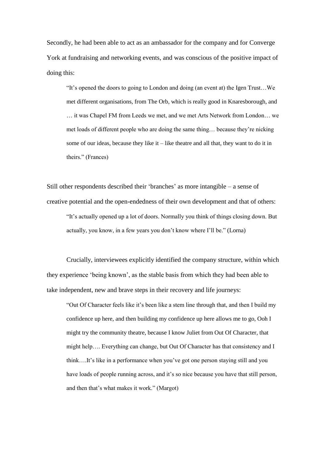Secondly, he had been able to act as an ambassador for the company and for Converge York at fundraising and networking events, and was conscious of the positive impact of doing this:

"It's opened the doors to going to London and doing (an event at) the Igen Trust…We met different organisations, from The Orb, which is really good in Knaresborough, and … it was Chapel FM from Leeds we met, and we met Arts Network from London… we met loads of different people who are doing the same thing… because they're nicking some of our ideas, because they like it – like theatre and all that, they want to do it in theirs." (Frances)

Still other respondents described their 'branches' as more intangible – a sense of creative potential and the open-endedness of their own development and that of others: "It's actually opened up a lot of doors. Normally you think of things closing down. But actually, you know, in a few years you don't know where I'll be." (Lorna)

Crucially, interviewees explicitly identified the company structure, within which they experience 'being known', as the stable basis from which they had been able to take independent, new and brave steps in their recovery and life journeys:

"Out Of Character feels like it's been like a stem line through that, and then I build my confidence up here, and then building my confidence up here allows me to go, Ooh I might try the community theatre, because I know Juliet from Out Of Character, that might help…. Everything can change, but Out Of Character has that consistency and I think….It's like in a performance when you've got one person staying still and you have loads of people running across, and it's so nice because you have that still person, and then that's what makes it work." (Margot)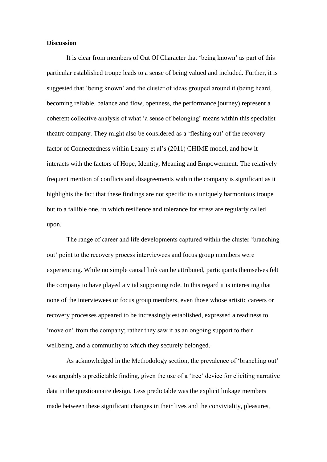## **Discussion**

It is clear from members of Out Of Character that 'being known' as part of this particular established troupe leads to a sense of being valued and included. Further, it is suggested that 'being known' and the cluster of ideas grouped around it (being heard, becoming reliable, balance and flow, openness, the performance journey) represent a coherent collective analysis of what 'a sense of belonging' means within this specialist theatre company. They might also be considered as a 'fleshing out' of the recovery factor of Connectedness within Leamy et al's (2011) CHIME model, and how it interacts with the factors of Hope, Identity, Meaning and Empowerment. The relatively frequent mention of conflicts and disagreements within the company is significant as it highlights the fact that these findings are not specific to a uniquely harmonious troupe but to a fallible one, in which resilience and tolerance for stress are regularly called upon.

The range of career and life developments captured within the cluster 'branching out' point to the recovery process interviewees and focus group members were experiencing. While no simple causal link can be attributed, participants themselves felt the company to have played a vital supporting role. In this regard it is interesting that none of the interviewees or focus group members, even those whose artistic careers or recovery processes appeared to be increasingly established, expressed a readiness to 'move on' from the company; rather they saw it as an ongoing support to their wellbeing, and a community to which they securely belonged.

As acknowledged in the Methodology section, the prevalence of 'branching out' was arguably a predictable finding, given the use of a 'tree' device for eliciting narrative data in the questionnaire design. Less predictable was the explicit linkage members made between these significant changes in their lives and the conviviality, pleasures,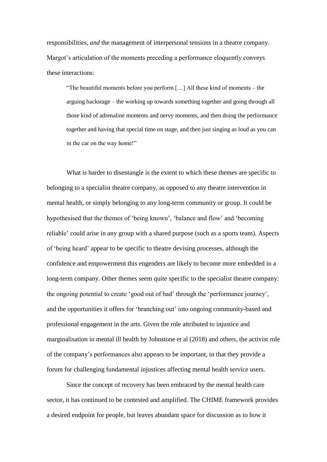responsibilities, *and* the management of interpersonal tensions in a theatre company. Margot's articulation of the moments preceding a performance eloquently conveys these interactions:

"The beautiful moments before you perform […] All these kind of moments – the arguing backstage – the working up towards something together and going through all those kind of adrenaline moments and nervy moments, and then doing the performance together and having that special time on stage, and then just singing as loud as you can in the car on the way home!"

What is harder to disentangle is the extent to which these themes are specific to belonging to a specialist theatre company, as opposed to any theatre intervention in mental health, or simply belonging to any long-term community or group. It could be hypothesised that the themes of 'being known', 'balance and flow' and 'becoming reliable' could arise in any group with a shared purpose (such as a sports team). Aspects of 'being heard' appear to be specific to theatre devising processes, although the confidence and empowerment this engenders are likely to become more embedded in a long-term company. Other themes seem quite specific to the specialist theatre company: the ongoing potential to create 'good out of bad' through the 'performance journey', and the opportunities it offers for 'branching out' into ongoing community-based and professional engagement in the arts. Given the role attributed to injustice and marginalisation in mental ill health by Johnstone et al (2018) and others, the activist role of the company's performances also appears to be important, in that they provide a forum for challenging fundamental injustices affecting mental health service users.

Since the concept of recovery has been embraced by the mental health care sector, it has continued to be contested and amplified. The CHIME framework provides a desired endpoint for people, but leaves abundant space for discussion as to how it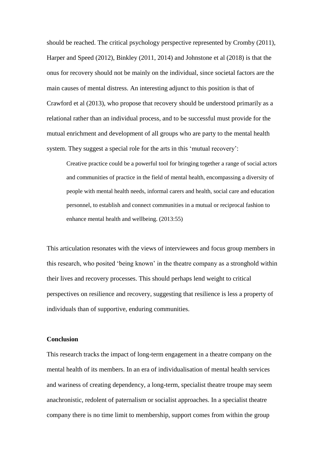should be reached. The critical psychology perspective represented by Cromby (2011), Harper and Speed (2012), Binkley (2011, 2014) and Johnstone et al (2018) is that the onus for recovery should not be mainly on the individual, since societal factors are the main causes of mental distress. An interesting adjunct to this position is that of Crawford et al (2013), who propose that recovery should be understood primarily as a relational rather than an individual process, and to be successful must provide for the mutual enrichment and development of all groups who are party to the mental health system. They suggest a special role for the arts in this 'mutual recovery':

Creative practice could be a powerful tool for bringing together a range of social actors and communities of practice in the field of mental health, encompassing a diversity of people with mental health needs, informal carers and health, social care and education personnel, to establish and connect communities in a mutual or reciprocal fashion to enhance mental health and wellbeing. (2013:55)

This articulation resonates with the views of interviewees and focus group members in this research, who posited 'being known' in the theatre company as a stronghold within their lives and recovery processes. This should perhaps lend weight to critical perspectives on resilience and recovery, suggesting that resilience is less a property of individuals than of supportive, enduring communities.

## **Conclusion**

This research tracks the impact of long-term engagement in a theatre company on the mental health of its members. In an era of individualisation of mental health services and wariness of creating dependency, a long-term, specialist theatre troupe may seem anachronistic, redolent of paternalism or socialist approaches. In a specialist theatre company there is no time limit to membership, support comes from within the group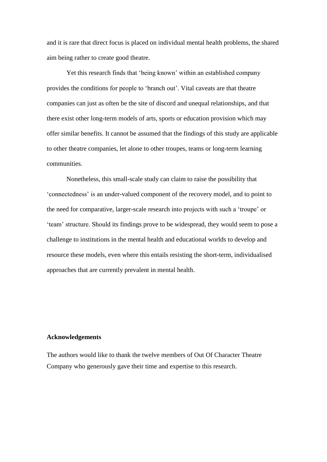and it is rare that direct focus is placed on individual mental health problems, the shared aim being rather to create good theatre.

Yet this research finds that 'being known' within an established company provides the conditions for people to 'branch out'. Vital caveats are that theatre companies can just as often be the site of discord and unequal relationships, and that there exist other long-term models of arts, sports or education provision which may offer similar benefits. It cannot be assumed that the findings of this study are applicable to other theatre companies, let alone to other troupes, teams or long-term learning communities.

Nonetheless, this small-scale study can claim to raise the possibility that 'connectedness' is an under-valued component of the recovery model, and to point to the need for comparative, larger-scale research into projects with such a 'troupe' or 'team' structure. Should its findings prove to be widespread, they would seem to pose a challenge to institutions in the mental health and educational worlds to develop and resource these models, even where this entails resisting the short-term, individualised approaches that are currently prevalent in mental health.

#### **Acknowledgements**

The authors would like to thank the twelve members of Out Of Character Theatre Company who generously gave their time and expertise to this research.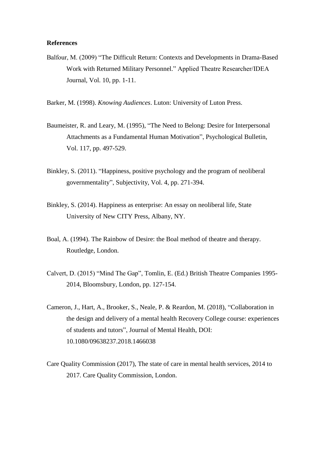## **References**

Balfour, M. (2009) "The Difficult Return: Contexts and Developments in Drama-Based Work with Returned Military Personnel." Applied Theatre Researcher/IDEA Journal, Vol. 10, pp. 1-11.

Barker, M. (1998). *Knowing Audiences*. Luton: University of Luton Press.

- Baumeister, R. and Leary, M. (1995), "The Need to Belong: Desire for Interpersonal Attachments as a Fundamental Human Motivation", Psychological Bulletin, Vol. 117, pp. 497-529.
- Binkley, S. (2011). "Happiness, positive psychology and the program of neoliberal governmentality", Subjectivity, Vol. 4, pp. 271-394.
- Binkley, S. (2014). Happiness as enterprise: An essay on neoliberal life, State University of New CITY Press, Albany, NY.
- Boal, A. (1994). The Rainbow of Desire: the Boal method of theatre and therapy. Routledge, London.
- Calvert, D. (2015) "Mind The Gap", Tomlin, E. (Ed.) British Theatre Companies 1995- 2014, Bloomsbury, London, pp. 127-154.
- Cameron, J., Hart, A., Brooker, S., Neale, P. & Reardon, M. (2018), "Collaboration in the design and delivery of a mental health Recovery College course: experiences of students and tutors", Journal of Mental Health, DOI: 10.1080/09638237.2018.1466038
- Care Quality Commission (2017), The state of care in mental health services, 2014 to 2017. Care Quality Commission, London.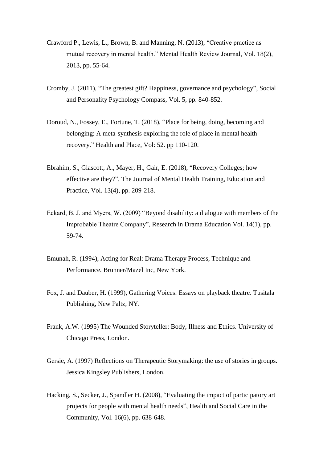- Crawford P., Lewis, L., Brown, B. and Manning, N. (2013), "Creative practice as mutual recovery in mental health." Mental Health Review Journal*,* Vol. 18(2), 2013, pp. 55-64.
- Cromby, J. (2011), "The greatest gift? Happiness, governance and psychology", Social and Personality Psychology Compass, Vol. 5*,* pp. 840-852.
- Doroud, N., Fossey, E., Fortune, T. (2018), "Place for being, doing, becoming and belonging: A meta-synthesis exploring the role of place in mental health recovery." Health and Place, Vol: 52. pp 110-120.
- Ebrahim, S., Glascott, A., Mayer, H., Gair, E. (2018), "Recovery Colleges; how effective are they?", The Journal of Mental Health Training, Education and Practice, Vol. 13(4), pp. 209-218.
- Eckard, B. J. and Myers, W. (2009) "Beyond disability: a dialogue with members of the Improbable Theatre Company", Research in Drama Education Vol. 14(1), pp. 59-74.
- Emunah, R. (1994), Acting for Real: Drama Therapy Process, Technique and Performance. Brunner/Mazel Inc, New York.
- Fox, J. and Dauber, H. (1999), Gathering Voices: Essays on playback theatre. Tusitala Publishing, New Paltz, NY.
- Frank, A.W. (1995) The Wounded Storyteller: Body, Illness and Ethics. University of Chicago Press, London.
- Gersie, A. (1997) Reflections on Therapeutic Storymaking: the use of stories in groups. Jessica Kingsley Publishers, London.
- Hacking, S., Secker, J., Spandler H. (2008), "Evaluating the impact of participatory art projects for people with mental health needs", Health and Social Care in the Community, Vol. 16(6), pp. 638-648.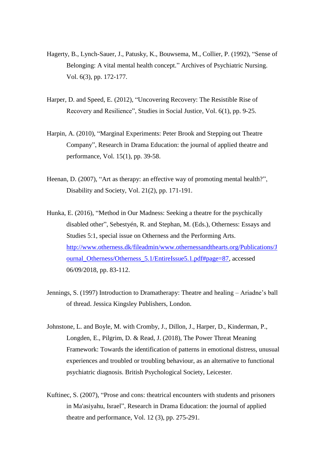- Hagerty, B., Lynch-Sauer, J., Patusky, K., Bouwsema, M., Collier, P. (1992), "Sense of Belonging: A vital mental health concept." Archives of Psychiatric Nursing. Vol. 6(3), pp. 172-177.
- Harper, D. and Speed, E. (2012), "Uncovering Recovery: The Resistible Rise of Recovery and Resilience", Studies in Social Justice, Vol. 6(1), pp. 9-25.
- Harpin, A. (2010), "Marginal Experiments: Peter Brook and Stepping out Theatre Company", Research in Drama Education: the journal of applied theatre and performance, Vol. 15(1), pp. 39-58.
- Heenan, D. (2007), "Art as therapy: an effective way of promoting mental health?", Disability and Society, Vol. 21(2), pp. 171-191.
- Hunka, E. (2016), "Method in Our Madness: Seeking a theatre for the psychically disabled other", Sebestyén, R. and Stephan, M. (Eds.), Otherness: Essays and Studies 5:1, special issue on Otherness and the Performing Arts. [http://www.otherness.dk/fileadmin/www.othernessandthearts.org/Publications/J](http://www.otherness.dk/fileadmin/www.othernessandthearts.org/Publications/Journal_Otherness/Otherness_5.1/EntireIssue5.1.pdf#page=87) [ournal\\_Otherness/Otherness\\_5.1/EntireIssue5.1.pdf#page=87,](http://www.otherness.dk/fileadmin/www.othernessandthearts.org/Publications/Journal_Otherness/Otherness_5.1/EntireIssue5.1.pdf#page=87) accessed 06/09/2018, pp. 83-112.
- Jennings, S. (1997) Introduction to Dramatherapy: Theatre and healing Ariadne's ball of thread. Jessica Kingsley Publishers, London.
- Johnstone, L. and Boyle, M. with Cromby, J., Dillon, J., Harper, D., Kinderman, P., Longden, E., Pilgrim, D. & Read, J. (2018), The Power Threat Meaning Framework: Towards the identification of patterns in emotional distress, unusual experiences and troubled or troubling behaviour, as an alternative to functional psychiatric diagnosis. British Psychological Society, Leicester.
- Kuftinec, S. (2007), "Prose and cons: theatrical encounters with students and prisoners in Ma'asiyahu, Israel", Research in Drama Education: the journal of applied theatre and performance, Vol. 12 (3), pp. 275-291.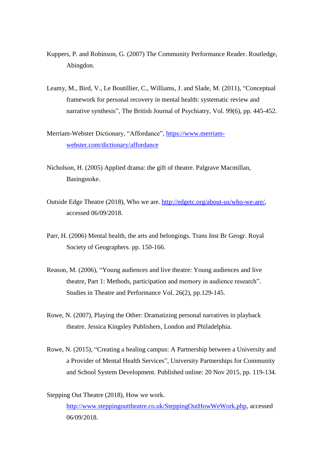- Kuppers, P. and Robinson, G. (2007) The Community Performance Reader. Routledge, Abingdon.
- Leamy, M., Bird, V., Le Boutillier, C., Williams, J. and Slade, M. (2011), "Conceptual framework for personal recovery in mental health: systematic review and narrative synthesis", The British Journal of Psychiatry, Vol. 99(6), pp. 445-452.
- Merriam-Webster Dictionary, "Affordance", [https://www.merriam](https://www.merriam-webster.com/dictionary/affordance)[webster.com/dictionary/affordance](https://www.merriam-webster.com/dictionary/affordance)
- Nicholson, H. (2005) Applied drama: the gift of theatre. Palgrave Macmillan, Basingstoke.
- Outside Edge Theatre (2018), Who we are. [http://edgetc.org/about-us/who-we-are/,](http://edgetc.org/about-us/who-we-are/) accessed 06/09/2018.
- Parr, H. (2006) Mental health, the arts and belongings. Trans Inst Br Geogr. Royal Society of Geographers. pp. 150-166.
- Reason, M. (2006), "Young audiences and live theatre: Young audiences and live theatre, Part 1: Methods, participation and memory in audience research". Studies in Theatre and Performance Vol. 26(2), pp.129-145.
- Rowe, N. (2007), Playing the Other: Dramatizing personal narratives in playback theatre. Jessica Kingsley Publishers, London and Philadelphia.
- Rowe, N. (2015), "Creating a healing campus: A Partnership between a University and a Provider of Mental Health Services", University Partnerships for Community and School System Development. Published online: 20 Nov 2015, pp. 119-134.
- Stepping Out Theatre (2018), How we work.

[http://www.steppingouttheatre.co.uk/SteppingOutHowWeWork.php,](http://www.steppingouttheatre.co.uk/SteppingOutHowWeWork.php) accessed 06/09/2018.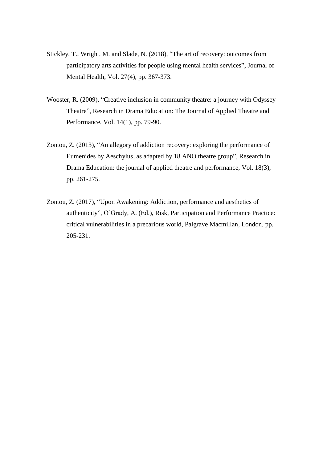- Stickley, T., Wright, M. and Slade, N. (2018), "The art of recovery: outcomes from participatory arts activities for people using mental health services", Journal of Mental Health, Vol. 27(4), pp. 367-373.
- Wooster, R. (2009), "Creative inclusion in community theatre: a journey with Odyssey Theatre", Research in Drama Education: The Journal of Applied Theatre and Performance, Vol. 14(1), pp. 79-90.
- Zontou, Z. (2013), "An allegory of addiction recovery: exploring the performance of Eumenides by Aeschylus, as adapted by 18 ANO theatre group", Research in Drama Education: the journal of applied theatre and performance, Vol. 18(3), pp. 261-275.
- Zontou, Z. (2017), "Upon Awakening: Addiction, performance and aesthetics of authenticity", O'Grady, A. (Ed.), Risk, Participation and Performance Practice: critical vulnerabilities in a precarious world, Palgrave Macmillan, London, pp. 205-231.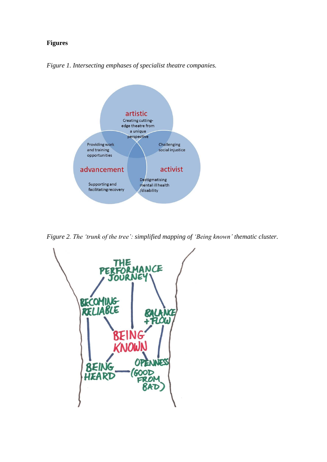## **Figures**





*Figure 2. The 'trunk of the tree': simplified mapping of 'Being known' thematic cluster.*